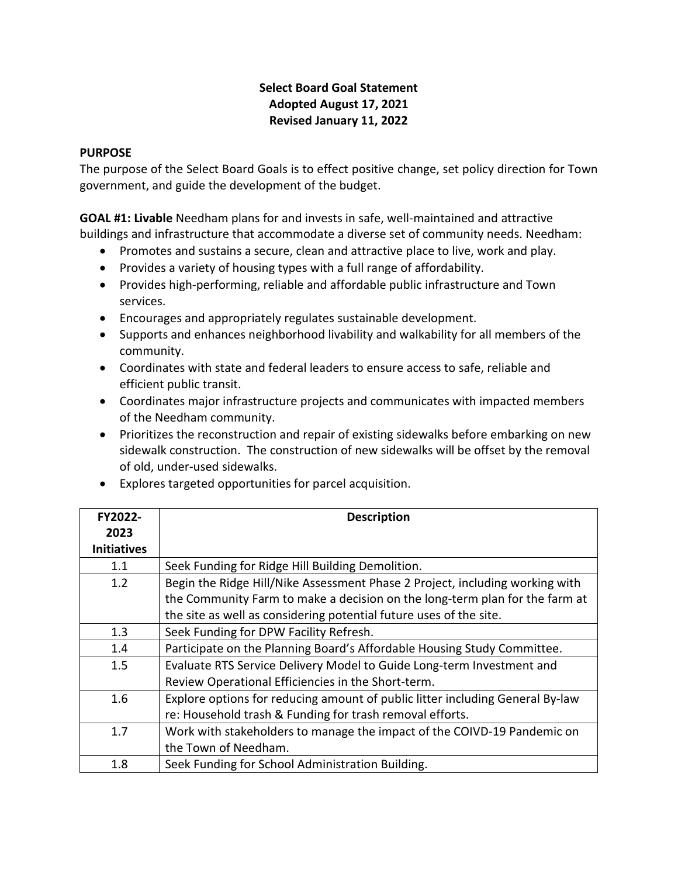## **Select Board Goal Statement Adopted August 17, 2021 Revised January 11, 2022**

## **PURPOSE**

The purpose of the Select Board Goals is to effect positive change, set policy direction for Town government, and guide the development of the budget.

**GOAL #1: Livable** Needham plans for and invests in safe, well-maintained and attractive buildings and infrastructure that accommodate a diverse set of community needs. Needham:

- Promotes and sustains a secure, clean and attractive place to live, work and play.
- Provides a variety of housing types with a full range of affordability.
- Provides high-performing, reliable and affordable public infrastructure and Town services.
- Encourages and appropriately regulates sustainable development.
- Supports and enhances neighborhood livability and walkability for all members of the community.
- Coordinates with state and federal leaders to ensure access to safe, reliable and efficient public transit.
- Coordinates major infrastructure projects and communicates with impacted members of the Needham community.
- Prioritizes the reconstruction and repair of existing sidewalks before embarking on new sidewalk construction. The construction of new sidewalks will be offset by the removal of old, under-used sidewalks.
- Explores targeted opportunities for parcel acquisition.

| FY2022-            | <b>Description</b>                                                            |
|--------------------|-------------------------------------------------------------------------------|
| 2023               |                                                                               |
| <b>Initiatives</b> |                                                                               |
| 1.1                | Seek Funding for Ridge Hill Building Demolition.                              |
| 1.2                | Begin the Ridge Hill/Nike Assessment Phase 2 Project, including working with  |
|                    | the Community Farm to make a decision on the long-term plan for the farm at   |
|                    | the site as well as considering potential future uses of the site.            |
| 1.3                | Seek Funding for DPW Facility Refresh.                                        |
| 1.4                | Participate on the Planning Board's Affordable Housing Study Committee.       |
| 1.5                | Evaluate RTS Service Delivery Model to Guide Long-term Investment and         |
|                    | Review Operational Efficiencies in the Short-term.                            |
| 1.6                | Explore options for reducing amount of public litter including General By-law |
|                    | re: Household trash & Funding for trash removal efforts.                      |
| 1.7                | Work with stakeholders to manage the impact of the COIVD-19 Pandemic on       |
|                    | the Town of Needham.                                                          |
| 1.8                | Seek Funding for School Administration Building.                              |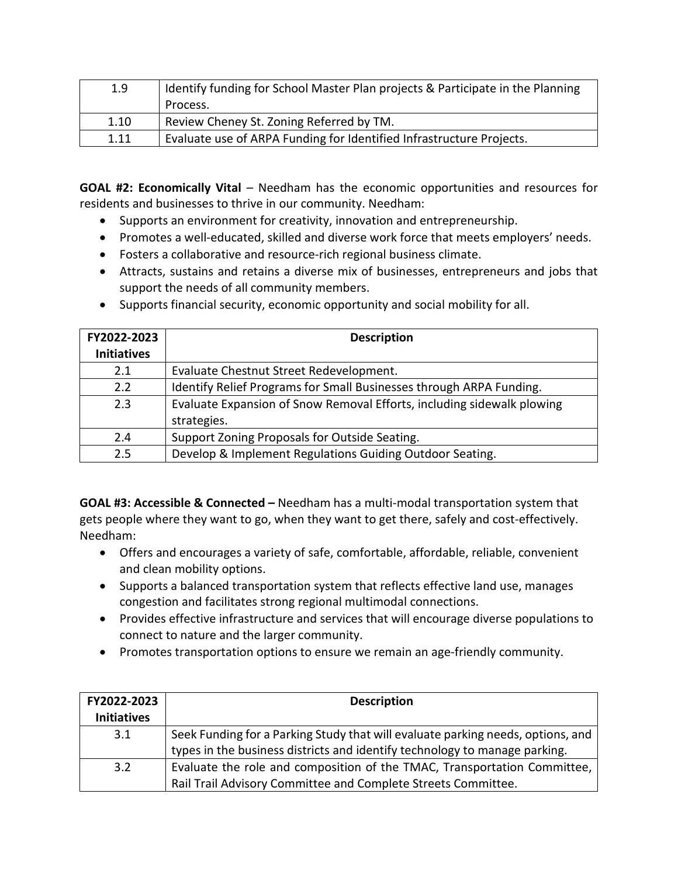| 1.9  | Identify funding for School Master Plan projects & Participate in the Planning |
|------|--------------------------------------------------------------------------------|
|      | Process.                                                                       |
| 1.10 | Review Cheney St. Zoning Referred by TM.                                       |
| 1.11 | Evaluate use of ARPA Funding for Identified Infrastructure Projects.           |

**GOAL #2: Economically Vital** – Needham has the economic opportunities and resources for residents and businesses to thrive in our community. Needham:

- Supports an environment for creativity, innovation and entrepreneurship.
- Promotes a well-educated, skilled and diverse work force that meets employers' needs.
- Fosters a collaborative and resource-rich regional business climate.
- Attracts, sustains and retains a diverse mix of businesses, entrepreneurs and jobs that support the needs of all community members.
- Supports financial security, economic opportunity and social mobility for all.

| FY2022-2023        | <b>Description</b>                                                     |
|--------------------|------------------------------------------------------------------------|
| <b>Initiatives</b> |                                                                        |
| 2.1                | Evaluate Chestnut Street Redevelopment.                                |
| 2.2                | Identify Relief Programs for Small Businesses through ARPA Funding.    |
| 2.3                | Evaluate Expansion of Snow Removal Efforts, including sidewalk plowing |
|                    | strategies.                                                            |
| 2.4                | Support Zoning Proposals for Outside Seating.                          |
| 2.5                | Develop & Implement Regulations Guiding Outdoor Seating.               |

**GOAL #3: Accessible & Connected –** Needham has a multi-modal transportation system that gets people where they want to go, when they want to get there, safely and cost-effectively. Needham:

- Offers and encourages a variety of safe, comfortable, affordable, reliable, convenient and clean mobility options.
- Supports a balanced transportation system that reflects effective land use, manages congestion and facilitates strong regional multimodal connections.
- Provides effective infrastructure and services that will encourage diverse populations to connect to nature and the larger community.
- Promotes transportation options to ensure we remain an age-friendly community.

| FY2022-2023<br><b>Initiatives</b> | <b>Description</b>                                                              |
|-----------------------------------|---------------------------------------------------------------------------------|
| 3.1                               | Seek Funding for a Parking Study that will evaluate parking needs, options, and |
|                                   | types in the business districts and identify technology to manage parking.      |
| 3.2                               | Evaluate the role and composition of the TMAC, Transportation Committee,        |
|                                   | Rail Trail Advisory Committee and Complete Streets Committee.                   |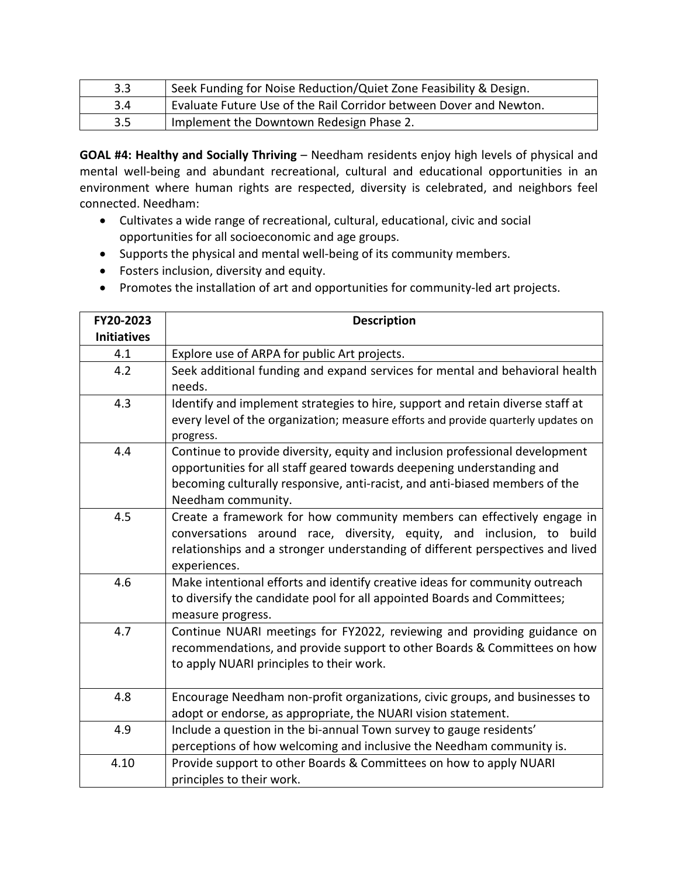| 3.3 | Seek Funding for Noise Reduction/Quiet Zone Feasibility & Design.  |
|-----|--------------------------------------------------------------------|
| 3.4 | Evaluate Future Use of the Rail Corridor between Dover and Newton. |
| 3.5 | Implement the Downtown Redesign Phase 2.                           |

**GOAL #4: Healthy and Socially Thriving** – Needham residents enjoy high levels of physical and mental well-being and abundant recreational, cultural and educational opportunities in an environment where human rights are respected, diversity is celebrated, and neighbors feel connected. Needham:

- Cultivates a wide range of recreational, cultural, educational, civic and social opportunities for all socioeconomic and age groups.
- Supports the physical and mental well-being of its community members.
- Fosters inclusion, diversity and equity.
- Promotes the installation of art and opportunities for community-led art projects.

| FY20-2023          | <b>Description</b>                                                                                                                                                                                                                                          |
|--------------------|-------------------------------------------------------------------------------------------------------------------------------------------------------------------------------------------------------------------------------------------------------------|
| <b>Initiatives</b> |                                                                                                                                                                                                                                                             |
| 4.1                | Explore use of ARPA for public Art projects.                                                                                                                                                                                                                |
| 4.2                | Seek additional funding and expand services for mental and behavioral health<br>needs.                                                                                                                                                                      |
| 4.3                | Identify and implement strategies to hire, support and retain diverse staff at                                                                                                                                                                              |
|                    | every level of the organization; measure efforts and provide quarterly updates on<br>progress.                                                                                                                                                              |
| 4.4                | Continue to provide diversity, equity and inclusion professional development<br>opportunities for all staff geared towards deepening understanding and<br>becoming culturally responsive, anti-racist, and anti-biased members of the<br>Needham community. |
| 4.5                | Create a framework for how community members can effectively engage in<br>conversations around race, diversity, equity, and inclusion, to build<br>relationships and a stronger understanding of different perspectives and lived<br>experiences.           |
| 4.6                | Make intentional efforts and identify creative ideas for community outreach<br>to diversify the candidate pool for all appointed Boards and Committees;<br>measure progress.                                                                                |
| 4.7                | Continue NUARI meetings for FY2022, reviewing and providing guidance on<br>recommendations, and provide support to other Boards & Committees on how<br>to apply NUARI principles to their work.                                                             |
| 4.8                | Encourage Needham non-profit organizations, civic groups, and businesses to<br>adopt or endorse, as appropriate, the NUARI vision statement.                                                                                                                |
| 4.9                | Include a question in the bi-annual Town survey to gauge residents'<br>perceptions of how welcoming and inclusive the Needham community is.                                                                                                                 |
| 4.10               | Provide support to other Boards & Committees on how to apply NUARI<br>principles to their work.                                                                                                                                                             |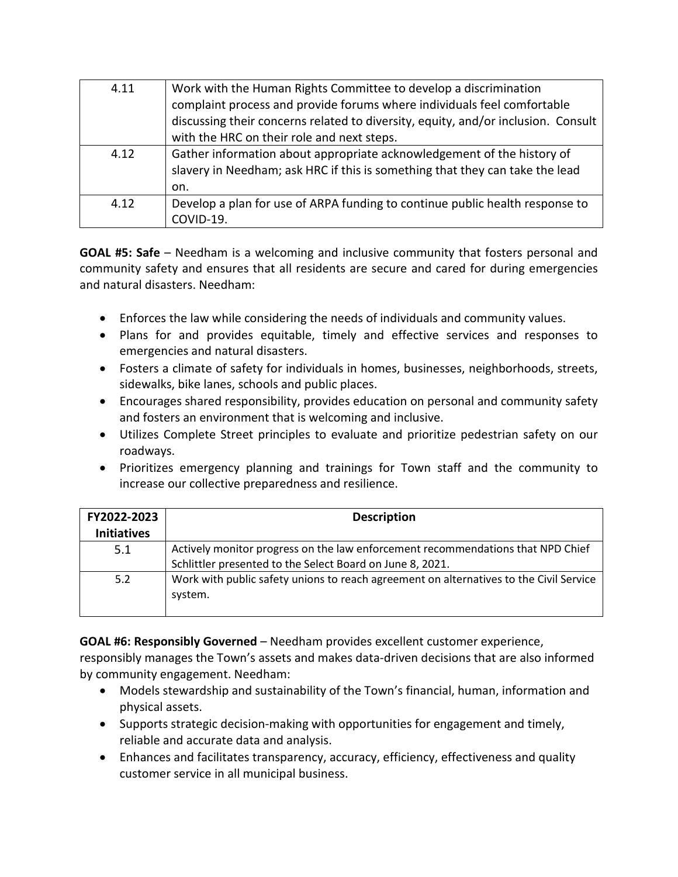| 4.11 | Work with the Human Rights Committee to develop a discrimination                  |
|------|-----------------------------------------------------------------------------------|
|      | complaint process and provide forums where individuals feel comfortable           |
|      | discussing their concerns related to diversity, equity, and/or inclusion. Consult |
|      | with the HRC on their role and next steps.                                        |
| 4.12 | Gather information about appropriate acknowledgement of the history of            |
|      | slavery in Needham; ask HRC if this is something that they can take the lead      |
|      | on.                                                                               |
| 4.12 | Develop a plan for use of ARPA funding to continue public health response to      |
|      | COVID-19.                                                                         |

**GOAL #5: Safe** – Needham is a welcoming and inclusive community that fosters personal and community safety and ensures that all residents are secure and cared for during emergencies and natural disasters. Needham:

- Enforces the law while considering the needs of individuals and community values.
- Plans for and provides equitable, timely and effective services and responses to emergencies and natural disasters.
- Fosters a climate of safety for individuals in homes, businesses, neighborhoods, streets, sidewalks, bike lanes, schools and public places.
- Encourages shared responsibility, provides education on personal and community safety and fosters an environment that is welcoming and inclusive.
- Utilizes Complete Street principles to evaluate and prioritize pedestrian safety on our roadways.
- Prioritizes emergency planning and trainings for Town staff and the community to increase our collective preparedness and resilience.

| FY2022-2023<br><b>Initiatives</b> | <b>Description</b>                                                                                                                           |
|-----------------------------------|----------------------------------------------------------------------------------------------------------------------------------------------|
| 5.1                               | Actively monitor progress on the law enforcement recommendations that NPD Chief<br>Schlittler presented to the Select Board on June 8, 2021. |
| 5.2                               | Work with public safety unions to reach agreement on alternatives to the Civil Service<br>system.                                            |

**GOAL #6: Responsibly Governed** – Needham provides excellent customer experience, responsibly manages the Town's assets and makes data-driven decisions that are also informed by community engagement. Needham:

- Models stewardship and sustainability of the Town's financial, human, information and physical assets.
- Supports strategic decision-making with opportunities for engagement and timely, reliable and accurate data and analysis.
- Enhances and facilitates transparency, accuracy, efficiency, effectiveness and quality customer service in all municipal business.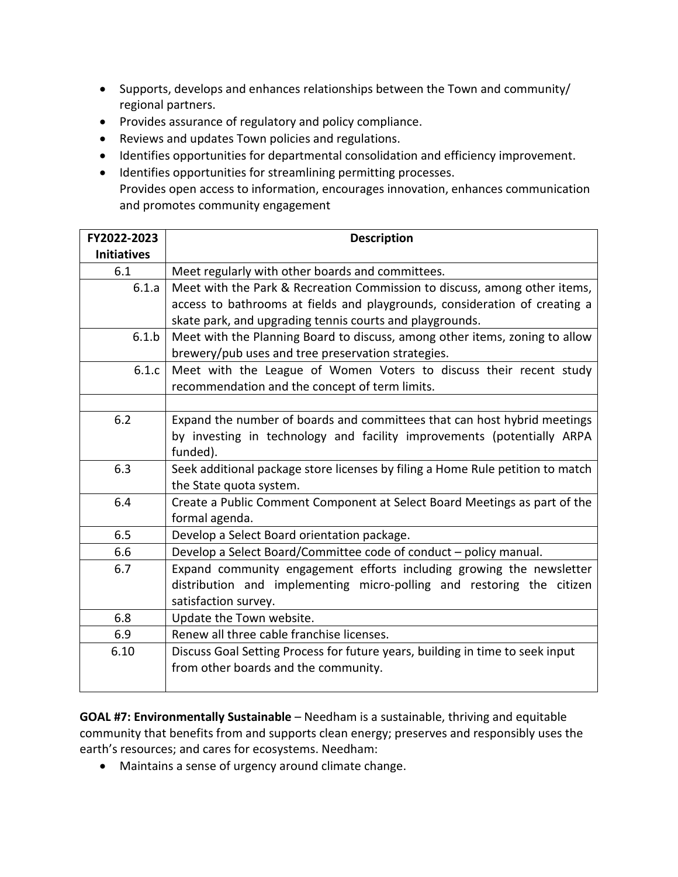- Supports, develops and enhances relationships between the Town and community/ regional partners.
- Provides assurance of regulatory and policy compliance.
- Reviews and updates Town policies and regulations.
- Identifies opportunities for departmental consolidation and efficiency improvement.
- Identifies opportunities for streamlining permitting processes. Provides open access to information, encourages innovation, enhances communication and promotes community engagement

| FY2022-2023        | <b>Description</b>                                                                                                                                      |
|--------------------|---------------------------------------------------------------------------------------------------------------------------------------------------------|
| <b>Initiatives</b> |                                                                                                                                                         |
| 6.1                | Meet regularly with other boards and committees.                                                                                                        |
| 6.1.a              | Meet with the Park & Recreation Commission to discuss, among other items,<br>access to bathrooms at fields and playgrounds, consideration of creating a |
|                    | skate park, and upgrading tennis courts and playgrounds.                                                                                                |
| 6.1.b              | Meet with the Planning Board to discuss, among other items, zoning to allow                                                                             |
|                    | brewery/pub uses and tree preservation strategies.                                                                                                      |
| 6.1.c              | Meet with the League of Women Voters to discuss their recent study                                                                                      |
|                    | recommendation and the concept of term limits.                                                                                                          |
|                    |                                                                                                                                                         |
| 6.2                | Expand the number of boards and committees that can host hybrid meetings                                                                                |
|                    | by investing in technology and facility improvements (potentially ARPA                                                                                  |
|                    | funded).                                                                                                                                                |
| 6.3                | Seek additional package store licenses by filing a Home Rule petition to match                                                                          |
|                    | the State quota system.                                                                                                                                 |
| 6.4                | Create a Public Comment Component at Select Board Meetings as part of the                                                                               |
|                    | formal agenda.                                                                                                                                          |
| 6.5                | Develop a Select Board orientation package.                                                                                                             |
| 6.6                | Develop a Select Board/Committee code of conduct - policy manual.                                                                                       |
| 6.7                | Expand community engagement efforts including growing the newsletter                                                                                    |
|                    | distribution and implementing micro-polling and restoring the citizen                                                                                   |
|                    | satisfaction survey.                                                                                                                                    |
| 6.8                | Update the Town website.                                                                                                                                |
| 6.9                | Renew all three cable franchise licenses.                                                                                                               |
| 6.10               | Discuss Goal Setting Process for future years, building in time to seek input                                                                           |
|                    | from other boards and the community.                                                                                                                    |
|                    |                                                                                                                                                         |

**GOAL #7: Environmentally Sustainable** – Needham is a sustainable, thriving and equitable community that benefits from and supports clean energy; preserves and responsibly uses the earth's resources; and cares for ecosystems. Needham:

• Maintains a sense of urgency around climate change.